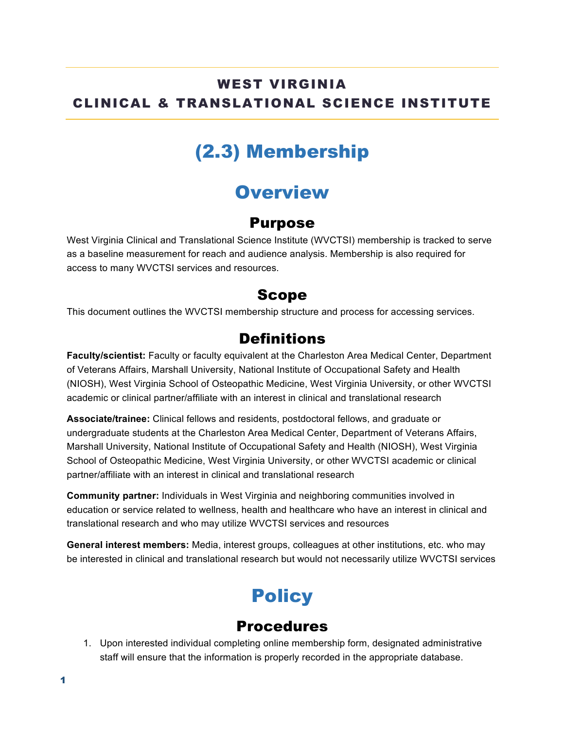#### WEST VIRGINIA CLINICAL & TRANSLATIONAL SCIENCE INSTITUTE

# (2.3) Membership

### **Overview**

#### Purpose

West Virginia Clinical and Translational Science Institute (WVCTSI) membership is tracked to serve as a baseline measurement for reach and audience analysis. Membership is also required for access to many WVCTSI services and resources.

#### Scope

This document outlines the WVCTSI membership structure and process for accessing services.

### **Definitions**

**Faculty/scientist:** Faculty or faculty equivalent at the Charleston Area Medical Center, Department of Veterans Affairs, Marshall University, National Institute of Occupational Safety and Health (NIOSH), West Virginia School of Osteopathic Medicine, West Virginia University, or other WVCTSI academic or clinical partner/affiliate with an interest in clinical and translational research

**Associate/trainee:** Clinical fellows and residents, postdoctoral fellows, and graduate or undergraduate students at the Charleston Area Medical Center, Department of Veterans Affairs, Marshall University, National Institute of Occupational Safety and Health (NIOSH), West Virginia School of Osteopathic Medicine, West Virginia University, or other WVCTSI academic or clinical partner/affiliate with an interest in clinical and translational research

**Community partner:** Individuals in West Virginia and neighboring communities involved in education or service related to wellness, health and healthcare who have an interest in clinical and translational research and who may utilize WVCTSI services and resources

**General interest members:** Media, interest groups, colleagues at other institutions, etc. who may be interested in clinical and translational research but would not necessarily utilize WVCTSI services

# **Policy**

### **Procedures**

1. Upon interested individual completing online membership form, designated administrative staff will ensure that the information is properly recorded in the appropriate database.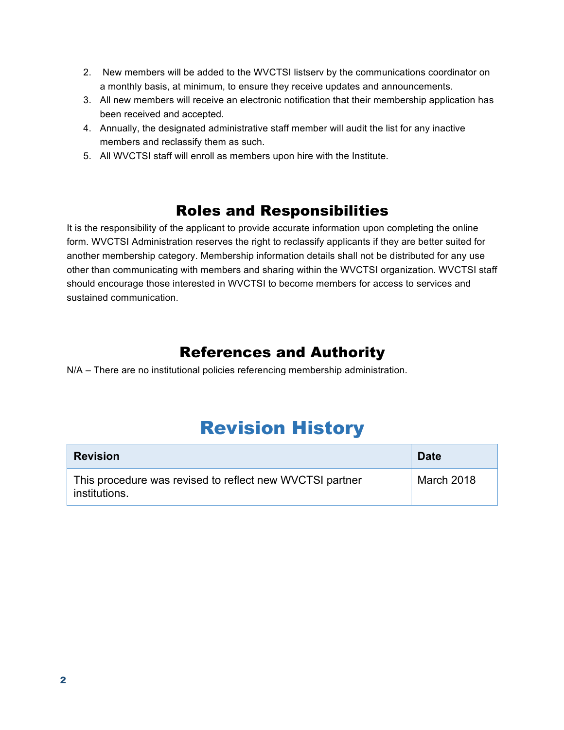- 2. New members will be added to the WVCTSI listserv by the communications coordinator on a monthly basis, at minimum, to ensure they receive updates and announcements.
- 3. All new members will receive an electronic notification that their membership application has been received and accepted.
- 4. Annually, the designated administrative staff member will audit the list for any inactive members and reclassify them as such.
- 5. All WVCTSI staff will enroll as members upon hire with the Institute.

### Roles and Responsibilities

It is the responsibility of the applicant to provide accurate information upon completing the online form. WVCTSI Administration reserves the right to reclassify applicants if they are better suited for another membership category. Membership information details shall not be distributed for any use other than communicating with members and sharing within the WVCTSI organization. WVCTSI staff should encourage those interested in WVCTSI to become members for access to services and sustained communication.

### References and Authority

N/A – There are no institutional policies referencing membership administration.

### Revision History

| <b>Revision</b>                                                           | <b>Date</b> |
|---------------------------------------------------------------------------|-------------|
| This procedure was revised to reflect new WVCTSI partner<br>institutions. | March 2018  |